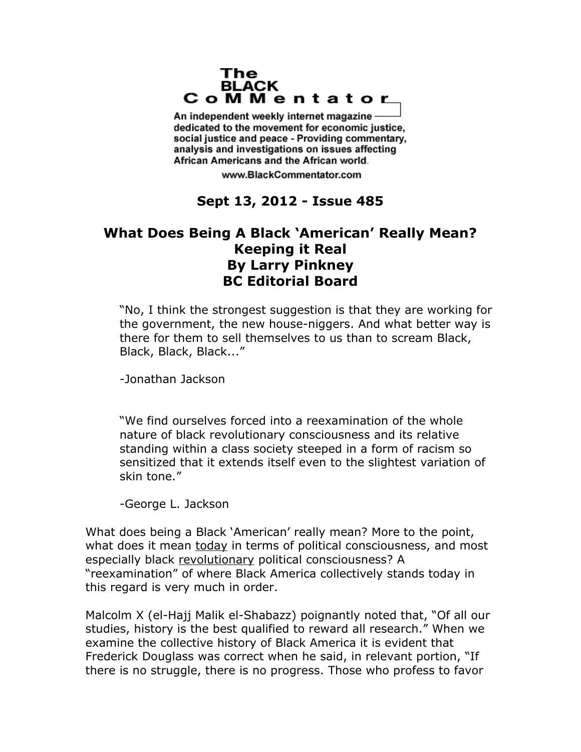## The **BLACK** CoMMentator

An independent weekly internet magazine dedicated to the movement for economic justice. social justice and peace - Providing commentary, analysis and investigations on issues affecting African Americans and the African world.

www.BlackCommentator.com

## **Sept 13, 2012 - Issue 485**

## **What Does Being A Black 'American' Really Mean? Keeping it Real By Larry Pinkney BC Editorial Board**

"No, I think the strongest suggestion is that they are working for the government, the new house-niggers. And what better way is there for them to sell themselves to us than to scream Black, Black, Black, Black..."

-Jonathan Jackson

"We find ourselves forced into a reexamination of the whole nature of black revolutionary consciousness and its relative standing within a class society steeped in a form of racism so sensitized that it extends itself even to the slightest variation of skin tone."

-George L. Jackson

What does being a Black 'American' really mean? More to the point, what does it mean today in terms of political consciousness, and most especially black revolutionary political consciousness? A "reexamination" of where Black America collectively stands today in this regard is very much in order.

Malcolm X (el-Hajj Malik el-Shabazz) poignantly noted that, "Of all our studies, history is the best qualified to reward all research." When we examine the collective history of Black America it is evident that Frederick Douglass was correct when he said, in relevant portion, "If there is no struggle, there is no progress. Those who profess to favor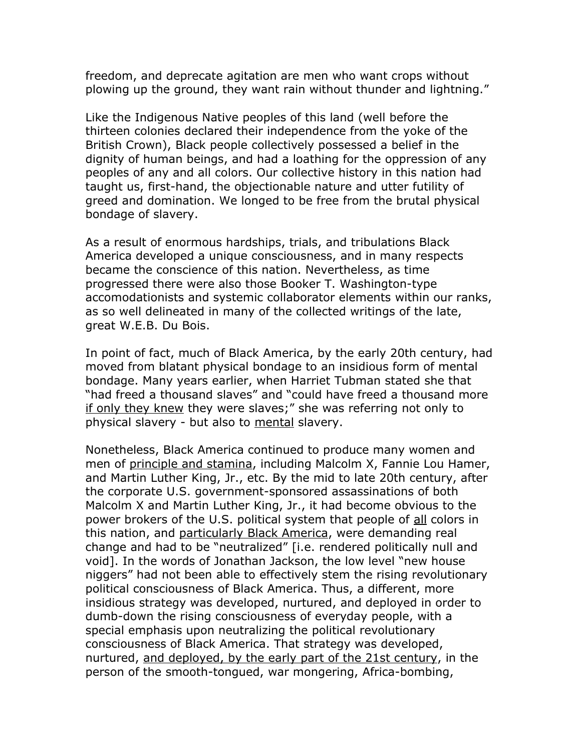freedom, and deprecate agitation are men who want crops without plowing up the ground, they want rain without thunder and lightning."

Like the Indigenous Native peoples of this land (well before the thirteen colonies declared their independence from the yoke of the British Crown), Black people collectively possessed a belief in the dignity of human beings, and had a loathing for the oppression of any peoples of any and all colors. Our collective history in this nation had taught us, first-hand, the objectionable nature and utter futility of greed and domination. We longed to be free from the brutal physical bondage of slavery.

As a result of enormous hardships, trials, and tribulations Black America developed a unique consciousness, and in many respects became the conscience of this nation. Nevertheless, as time progressed there were also those Booker T. Washington-type accomodationists and systemic collaborator elements within our ranks, as so well delineated in many of the collected writings of the late, great W.E.B. Du Bois.

In point of fact, much of Black America, by the early 20th century, had moved from blatant physical bondage to an insidious form of mental bondage. Many years earlier, when Harriet Tubman stated she that "had freed a thousand slaves" and "could have freed a thousand more if only they knew they were slaves;" she was referring not only to physical slavery - but also to mental slavery.

Nonetheless, Black America continued to produce many women and men of principle and stamina, including Malcolm X, Fannie Lou Hamer, and Martin Luther King, Jr., etc. By the mid to late 20th century, after the corporate U.S. government-sponsored assassinations of both Malcolm X and Martin Luther King, Jr., it had become obvious to the power brokers of the U.S. political system that people of all colors in this nation, and particularly Black America, were demanding real change and had to be "neutralized" [i.e. rendered politically null and void]. In the words of Jonathan Jackson, the low level "new house niggers" had not been able to effectively stem the rising revolutionary political consciousness of Black America. Thus, a different, more insidious strategy was developed, nurtured, and deployed in order to dumb-down the rising consciousness of everyday people, with a special emphasis upon neutralizing the political revolutionary consciousness of Black America. That strategy was developed, nurtured, and deployed, by the early part of the 21st century, in the person of the smooth-tongued, war mongering, Africa-bombing,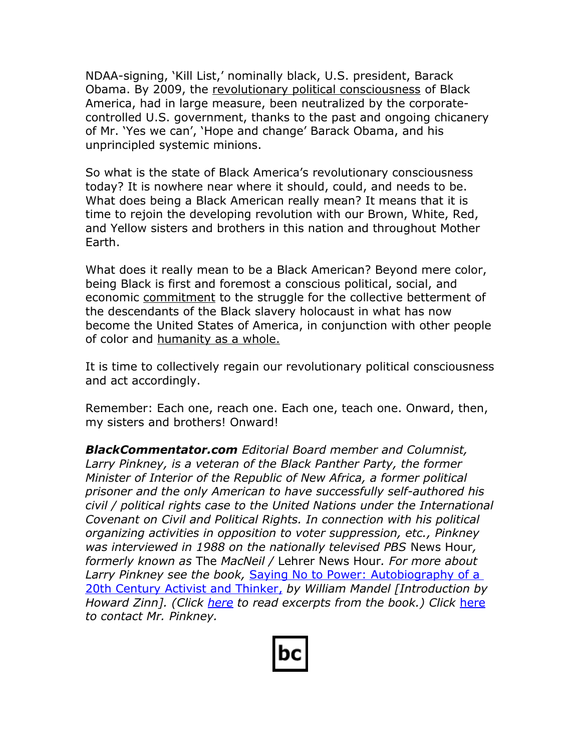NDAA-signing, 'Kill List,' nominally black, U.S. president, Barack Obama. By 2009, the revolutionary political consciousness of Black America, had in large measure, been neutralized by the corporatecontrolled U.S. government, thanks to the past and ongoing chicanery of Mr. 'Yes we can', 'Hope and change' Barack Obama, and his unprincipled systemic minions.

So what is the state of Black America's revolutionary consciousness today? It is nowhere near where it should, could, and needs to be. What does being a Black American really mean? It means that it is time to rejoin the developing revolution with our Brown, White, Red, and Yellow sisters and brothers in this nation and throughout Mother Earth.

What does it really mean to be a Black American? Beyond mere color, being Black is first and foremost a conscious political, social, and economic commitment to the struggle for the collective betterment of the descendants of the Black slavery holocaust in what has now become the United States of America, in conjunction with other people of color and humanity as a whole.

It is time to collectively regain our revolutionary political consciousness and act accordingly.

Remember: Each one, reach one. Each one, teach one. Onward, then, my sisters and brothers! Onward!

*BlackCommentator.com Editorial Board member and Columnist, Larry Pinkney, is a veteran of the Black Panther Party, the former Minister of Interior of the Republic of New Africa, a former political prisoner and the only American to have successfully self-authored his civil / political rights case to the United Nations under the International Covenant on Civil and Political Rights. In connection with his political organizing activities in opposition to voter suppression, etc., Pinkney was interviewed in 1988 on the nationally televised PBS* News Hour*, formerly known as* The *MacNeil /* Lehrer News Hour*. For more about Larry Pinkney see the book,* [Saying No to Power: Autobiography of a](http://www.amazon.com/gp/product/0887392865/ref=as_li_tf_tl?ie=UTF8&tag=blackcommenta-20&link_code=as3&camp=211189&creative=373489&creativeASIN=0887392865)  20th Century Activist and Thinker, by William Mandel [Introduction by *Howard Zinn]. (Click [here](http://www.struggle-and-win.net/13201/43480.html) to read excerpts from the book.) Click* [here](http://www.blackcommentator.com/contact_forms/larry_pinkney/gbcf_form.php) *to contact Mr. Pinkney.*